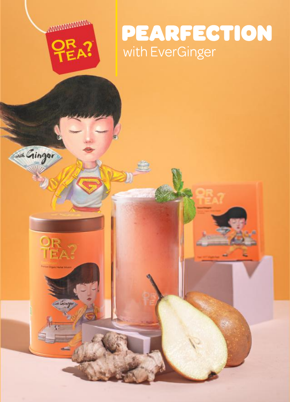

*AMMANAMINING* 

with Ginger

 $\frac{\mathsf{QR}}{\mathsf{TEA}}$